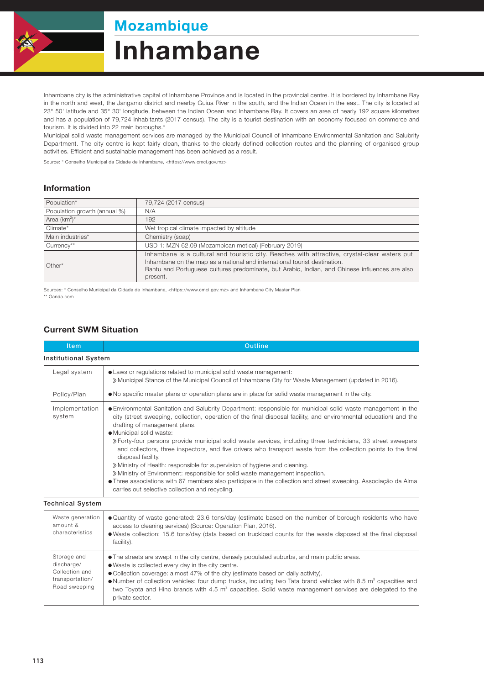

## Mozambique

# Inhambane

Inhambane city is the administrative capital of Inhambane Province and is located in the provincial centre. It is bordered by Inhambane Bay in the north and west, the Jangamo district and nearby Guiua River in the south, and the Indian Ocean in the east. The city is located at 23° 50' latitude and 35° 30' longitude, between the Indian Ocean and Inhambane Bay. It covers an area of nearly 192 square kilometres and has a population of 79,724 inhabitants (2017 census). The city is a tourist destination with an economy focused on commerce and tourism. It is divided into 22 main boroughs.\*

Municipal solid waste management services are managed by the Municipal Council of Inhambane Environmental Sanitation and Salubrity Department. The city centre is kept fairly clean, thanks to the clearly defined collection routes and the planning of organised group activities. Efficient and sustainable management has been achieved as a result.

Source: \* Conselho Municipal da Cidade de Inhambane, <https://www.cmci.gov.mz>

#### Information

| Population*                  | 79,724 (2017 census)                                                                                                                                                                                                                                                                     |  |  |
|------------------------------|------------------------------------------------------------------------------------------------------------------------------------------------------------------------------------------------------------------------------------------------------------------------------------------|--|--|
| Population growth (annual %) | N/A                                                                                                                                                                                                                                                                                      |  |  |
| Area $(km^2)^*$              | 192                                                                                                                                                                                                                                                                                      |  |  |
| Climate*                     | Wet tropical climate impacted by altitude                                                                                                                                                                                                                                                |  |  |
| Main industries*             | Chemistry (soap)                                                                                                                                                                                                                                                                         |  |  |
| Currency**                   | USD 1: MZN 62.09 (Mozambican metical) (February 2019)                                                                                                                                                                                                                                    |  |  |
| $Other*$                     | Inhambane is a cultural and touristic city. Beaches with attractive, crystal-clear waters put<br>Inhambane on the map as a national and international tourist destination.<br>Bantu and Portuguese cultures predominate, but Arabic, Indian, and Chinese influences are also<br>present. |  |  |

Sources: \* Conselho Municipal da Cidade de Inhambane, <https://www.cmci.gov.mz> and Inhambane City Master Plan \*\* Oanda.com

#### Current SWM Situation

| <b>Item</b>                                                                     | <b>Outline</b>                                                                                                                                                                                                                                                                                                                                                                                                                                                                                                                                                                                                                                                                                                                                                                                                                                                                              |  |
|---------------------------------------------------------------------------------|---------------------------------------------------------------------------------------------------------------------------------------------------------------------------------------------------------------------------------------------------------------------------------------------------------------------------------------------------------------------------------------------------------------------------------------------------------------------------------------------------------------------------------------------------------------------------------------------------------------------------------------------------------------------------------------------------------------------------------------------------------------------------------------------------------------------------------------------------------------------------------------------|--|
| <b>Institutional System</b>                                                     |                                                                                                                                                                                                                                                                                                                                                                                                                                                                                                                                                                                                                                                                                                                                                                                                                                                                                             |  |
| Legal system                                                                    | • Laws or regulations related to municipal solid waste management:<br>» Municipal Stance of the Municipal Council of Inhambane City for Waste Management (updated in 2016).                                                                                                                                                                                                                                                                                                                                                                                                                                                                                                                                                                                                                                                                                                                 |  |
| Policy/Plan                                                                     | . No specific master plans or operation plans are in place for solid waste management in the city.                                                                                                                                                                                                                                                                                                                                                                                                                                                                                                                                                                                                                                                                                                                                                                                          |  |
| Implementation<br>system                                                        | · Environmental Sanitation and Salubrity Department: responsible for municipal solid waste management in the<br>city (street sweeping, collection, operation of the final disposal facility, and environmental education) and the<br>drafting of management plans.<br>· Municipal solid waste:<br>» Forty-four persons provide municipal solid waste services, including three technicians, 33 street sweepers<br>and collectors, three inspectors, and five drivers who transport waste from the collection points to the final<br>disposal facility.<br>» Ministry of Health: responsible for supervision of hygiene and cleaning.<br>» Ministry of Environment: responsible for solid waste management inspection.<br>• Three associations with 67 members also participate in the collection and street sweeping. Associacão da Alma<br>carries out selective collection and recycling. |  |
| <b>Technical System</b>                                                         |                                                                                                                                                                                                                                                                                                                                                                                                                                                                                                                                                                                                                                                                                                                                                                                                                                                                                             |  |
| Waste generation<br>amount &<br>characteristics                                 | . Quantity of waste generated: 23.6 tons/day (estimate based on the number of borough residents who have<br>access to cleaning services) (Source: Operation Plan, 2016).<br>• Waste collection: 15.6 tons/day (data based on truckload counts for the waste disposed at the final disposal<br>facility).                                                                                                                                                                                                                                                                                                                                                                                                                                                                                                                                                                                    |  |
| Storage and<br>discharge/<br>Collection and<br>transportation/<br>Road sweeping | • The streets are swept in the city centre, densely populated suburbs, and main public areas.<br>. Waste is collected every day in the city centre.<br>• Collection coverage: almost 47% of the city (estimate based on daily activity).<br>$\bullet$ Number of collection vehicles: four dump trucks, including two Tata brand vehicles with 8.5 m <sup>3</sup> capacities and<br>two Toyota and Hino brands with 4.5 m <sup>3</sup> capacities. Solid waste management services are delegated to the<br>private sector.                                                                                                                                                                                                                                                                                                                                                                   |  |